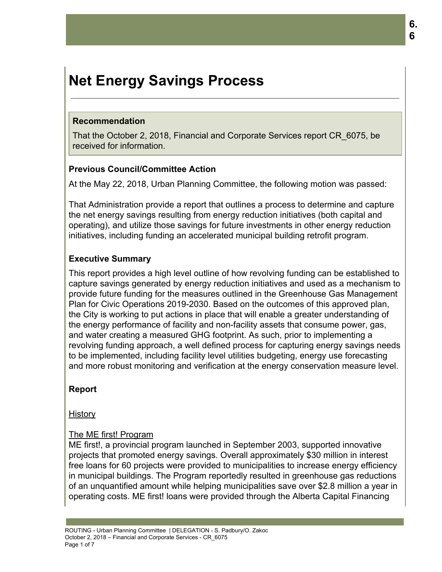# **Net Energy Savings Process**

#### **Recommendation**

That the October 2, 2018, Financial and Corporate Services report CR\_6075, be received for information.

#### **Previous Council/Committee Action**

At the May 22, 2018, Urban Planning Committee, the following motion was passed:

That Administration provide a report that outlines a process to determine and capture the net energy savings resulting from energy reduction initiatives (both capital and operating), and utilize those savings for future investments in other energy reduction initiatives, including funding an accelerated municipal building retrofit program.

# **Executive Summary**

This report provides a high level outline of how revolving funding can be established to capture savings generated by energy reduction initiatives and used as a mechanism to provide future funding for the measures outlined in the Greenhouse Gas Management Plan for Civic Operations 2019-2030. Based on the outcomes of this approved plan, the City is working to put actions in place that will enable a greater understanding of the energy performance of facility and non-facility assets that consume power, gas, and water creating a measured GHG footprint. As such, prior to implementing a revolving funding approach, a well defined process for capturing energy savings needs to be implemented, including facility level utilities budgeting, energy use forecasting and more robust monitoring and verification at the energy conservation measure level.

# **Report**

**History** 

# The ME first! Program

ME first!, a provincial program launched in September 2003, supported innovative projects that promoted energy savings. Overall approximately \$30 million in interest free loans for 60 projects were provided to municipalities to increase energy efficiency in municipal buildings. The Program reportedly resulted in greenhouse gas reductions of an unquantified amount while helping municipalities save over \$2.8 million a year in operating costs. ME first! loans were provided through the Alberta Capital Financing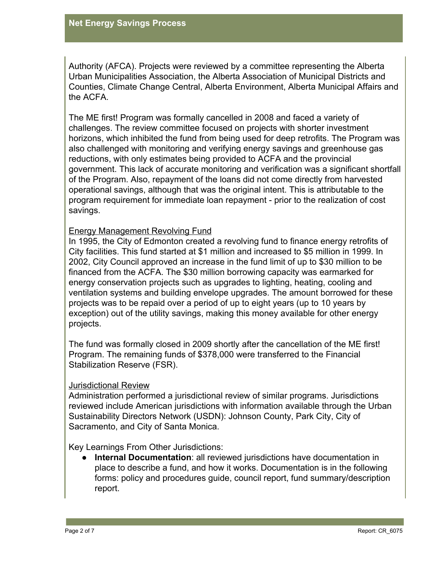Authority (AFCA). Projects were reviewed by a committee representing the Alberta Urban Municipalities Association, the Alberta Association of Municipal Districts and Counties, Climate Change Central, Alberta Environment, Alberta Municipal Affairs and the ACFA.

The ME first! Program was formally cancelled in 2008 and faced a variety of challenges. The review committee focused on projects with shorter investment horizons, which inhibited the fund from being used for deep retrofits. The Program was also challenged with monitoring and verifying energy savings and greenhouse gas reductions, with only estimates being provided to ACFA and the provincial government. This lack of accurate monitoring and verification was a significant shortfall of the Program. Also, repayment of the loans did not come directly from harvested operational savings, although that was the original intent. This is attributable to the program requirement for immediate loan repayment - prior to the realization of cost savings.

#### Energy Management Revolving Fund

In 1995, the City of Edmonton created a revolving fund to finance energy retrofits of City facilities. This fund started at \$1 million and increased to \$5 million in 1999. In 2002, City Council approved an increase in the fund limit of up to \$30 million to be financed from the ACFA. The \$30 million borrowing capacity was earmarked for energy conservation projects such as upgrades to lighting, heating, cooling and ventilation systems and building envelope upgrades. The amount borrowed for these projects was to be repaid over a period of up to eight years (up to 10 years by exception) out of the utility savings, making this money available for other energy projects.

The fund was formally closed in 2009 shortly after the cancellation of the ME first! Program. The remaining funds of \$378,000 were transferred to the Financial Stabilization Reserve (FSR).

#### Jurisdictional Review

Administration performed a jurisdictional review of similar programs. Jurisdictions reviewed include American jurisdictions with information available through the Urban Sustainability Directors Network (USDN): Johnson County, Park City, City of Sacramento, and City of Santa Monica.

Key Learnings From Other Jurisdictions:

● **Internal Documentation**: all reviewed jurisdictions have documentation in place to describe a fund, and how it works. Documentation is in the following forms: policy and procedures guide, council report, fund summary/description report.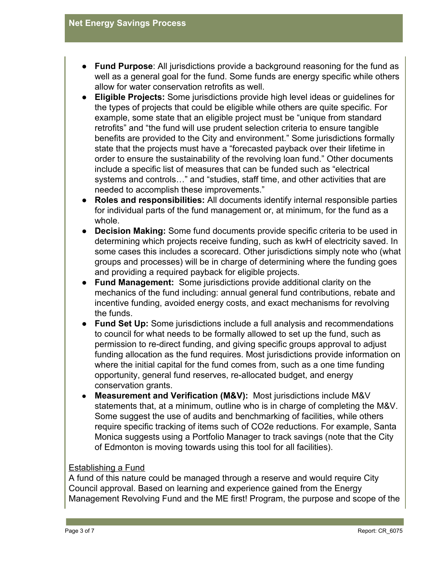- **Fund Purpose**: All jurisdictions provide a background reasoning for the fund as well as a general goal for the fund. Some funds are energy specific while others allow for water conservation retrofits as well.
- **Eligible Projects:** Some jurisdictions provide high level ideas or guidelines for the types of projects that could be eligible while others are quite specific. For example, some state that an eligible project must be "unique from standard retrofits" and "the fund will use prudent selection criteria to ensure tangible benefits are provided to the City and environment." Some jurisdictions formally state that the projects must have a "forecasted payback over their lifetime in order to ensure the sustainability of the revolving loan fund." Other documents include a specific list of measures that can be funded such as "electrical systems and controls…" and "studies, staff time, and other activities that are needed to accomplish these improvements."
- **Roles and responsibilities:** All documents identify internal responsible parties for individual parts of the fund management or, at minimum, for the fund as a whole.
- **Decision Making:** Some fund documents provide specific criteria to be used in determining which projects receive funding, such as kwH of electricity saved. In some cases this includes a scorecard. Other jurisdictions simply note who (what groups and processes) will be in charge of determining where the funding goes and providing a required payback for eligible projects.
- **Fund Management:**  Some jurisdictions provide additional clarity on the mechanics of the fund including: annual general fund contributions, rebate and incentive funding, avoided energy costs, and exact mechanisms for revolving the funds.
- **Fund Set Up:** Some jurisdictions include a full analysis and recommendations to council for what needs to be formally allowed to set up the fund, such as permission to re-direct funding, and giving specific groups approval to adjust funding allocation as the fund requires. Most jurisdictions provide information on where the initial capital for the fund comes from, such as a one time funding opportunity, general fund reserves, re-allocated budget, and energy conservation grants.
- **Measurement and Verification (M&V):** Most jurisdictions include M&V statements that, at a minimum, outline who is in charge of completing the M&V. Some suggest the use of audits and benchmarking of facilities, while others require specific tracking of items such of CO2e reductions. For example, Santa Monica suggests using a Portfolio Manager to track savings (note that the City of Edmonton is moving towards using this tool for all facilities).

# Establishing a Fund

A fund of this nature could be managed through a reserve and would require City Council approval. Based on learning and experience gained from the Energy Management Revolving Fund and the ME first! Program, the purpose and scope of the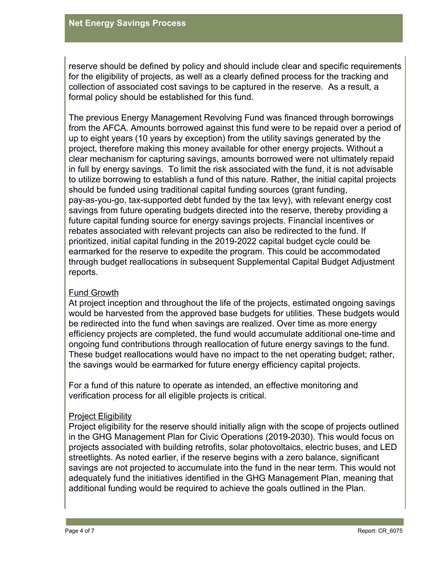reserve should be defined by policy and should include clear and specific requirements for the eligibility of projects, as well as a clearly defined process for the tracking and collection of associated cost savings to be captured in the reserve. As a result, a formal policy should be established for this fund.

The previous Energy Management Revolving Fund was financed through borrowings from the AFCA. Amounts borrowed against this fund were to be repaid over a period of up to eight years (10 years by exception) from the utility savings generated by the project, therefore making this money available for other energy projects. Without a clear mechanism for capturing savings, amounts borrowed were not ultimately repaid in full by energy savings. To limit the risk associated with the fund, it is not advisable to utilize borrowing to establish a fund of this nature. Rather, the initial capital projects should be funded using traditional capital funding sources (grant funding, pay-as-you-go, tax-supported debt funded by the tax levy), with relevant energy cost savings from future operating budgets directed into the reserve, thereby providing a future capital funding source for energy savings projects. Financial incentives or rebates associated with relevant projects can also be redirected to the fund. If prioritized, initial capital funding in the 2019-2022 capital budget cycle could be earmarked for the reserve to expedite the program. This could be accommodated through budget reallocations in subsequent Supplemental Capital Budget Adjustment reports.

# Fund Growth

At project inception and throughout the life of the projects, estimated ongoing savings would be harvested from the approved base budgets for utilities. These budgets would be redirected into the fund when savings are realized. Over time as more energy efficiency projects are completed, the fund would accumulate additional one-time and ongoing fund contributions through reallocation of future energy savings to the fund. These budget reallocations would have no impact to the net operating budget; rather, the savings would be earmarked for future energy efficiency capital projects.

For a fund of this nature to operate as intended, an effective monitoring and verification process for all eligible projects is critical.

# Project Eligibility

Project eligibility for the reserve should initially align with the scope of projects outlined in the GHG Management Plan for Civic Operations (2019-2030). This would focus on projects associated with building retrofits, solar photovoltaics, electric buses, and LED streetlights. As noted earlier, if the reserve begins with a zero balance, significant savings are not projected to accumulate into the fund in the near term. This would not adequately fund the initiatives identified in the GHG Management Plan, meaning that additional funding would be required to achieve the goals outlined in the Plan.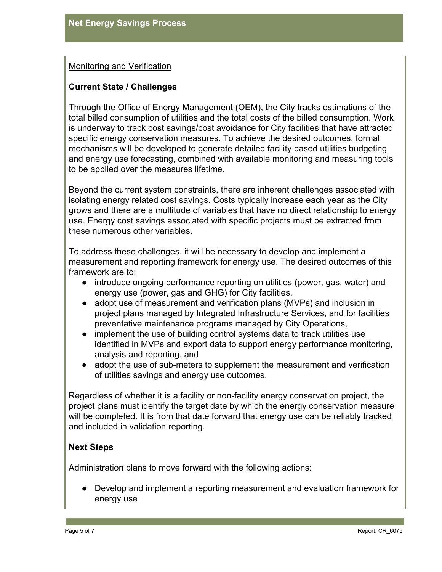# Monitoring and Verification

#### **Current State / Challenges**

Through the Office of Energy Management (OEM), the City tracks estimations of the total billed consumption of utilities and the total costs of the billed consumption. Work is underway to track cost savings/cost avoidance for City facilities that have attracted specific energy conservation measures. To achieve the desired outcomes, formal mechanisms will be developed to generate detailed facility based utilities budgeting and energy use forecasting, combined with available monitoring and measuring tools to be applied over the measures lifetime.

Beyond the current system constraints, there are inherent challenges associated with isolating energy related cost savings. Costs typically increase each year as the City grows and there are a multitude of variables that have no direct relationship to energy use. Energy cost savings associated with specific projects must be extracted from these numerous other variables.

To address these challenges, it will be necessary to develop and implement a measurement and reporting framework for energy use. The desired outcomes of this framework are to:

- introduce ongoing performance reporting on utilities (power, gas, water) and energy use (power, gas and GHG) for City facilities,
- adopt use of measurement and verification plans (MVPs) and inclusion in project plans managed by Integrated Infrastructure Services, and for facilities preventative maintenance programs managed by City Operations,
- implement the use of building control systems data to track utilities use identified in MVPs and export data to support energy performance monitoring, analysis and reporting, and
- adopt the use of sub-meters to supplement the measurement and verification of utilities savings and energy use outcomes.

Regardless of whether it is a facility or non-facility energy conservation project, the project plans must identify the target date by which the energy conservation measure will be completed. It is from that date forward that energy use can be reliably tracked and included in validation reporting.

# **Next Steps**

Administration plans to move forward with the following actions:

● Develop and implement a reporting measurement and evaluation framework for energy use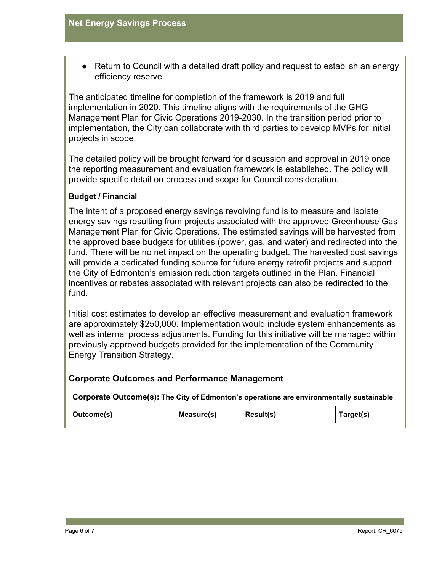Return to Council with a detailed draft policy and request to establish an energy efficiency reserve

The anticipated timeline for completion of the framework is 2019 and full implementation in 2020. This timeline aligns with the requirements of the GHG Management Plan for Civic Operations 2019-2030. In the transition period prior to implementation, the City can collaborate with third parties to develop MVPs for initial projects in scope.

The detailed policy will be brought forward for discussion and approval in 2019 once the reporting measurement and evaluation framework is established. The policy will provide specific detail on process and scope for Council consideration.

#### **Budget / Financial**

The intent of a proposed energy savings revolving fund is to measure and isolate energy savings resulting from projects associated with the approved Greenhouse Gas Management Plan for Civic Operations. The estimated savings will be harvested from the approved base budgets for utilities (power, gas, and water) and redirected into the fund. There will be no net impact on the operating budget. The harvested cost savings will provide a dedicated funding source for future energy retrofit projects and support the City of Edmonton's emission reduction targets outlined in the Plan. Financial incentives or rebates associated with relevant projects can also be redirected to the fund.

Initial cost estimates to develop an effective measurement and evaluation framework are approximately \$250,000. Implementation would include system enhancements as well as internal process adjustments. Funding for this initiative will be managed within previously approved budgets provided for the implementation of the Community Energy Transition Strategy.

| <b>Corporate Outcomes and Performance Management</b> |  |  |   |  |  |  |  |
|------------------------------------------------------|--|--|---|--|--|--|--|
|                                                      |  |  | . |  |  |  |  |

| Corporate Outcome(s): The City of Edmonton's operations are environmentally sustainable |            |                  |           |  |  |  |  |  |
|-----------------------------------------------------------------------------------------|------------|------------------|-----------|--|--|--|--|--|
| Outcome(s)                                                                              | Measure(s) | <b>Result(s)</b> | Target(s) |  |  |  |  |  |